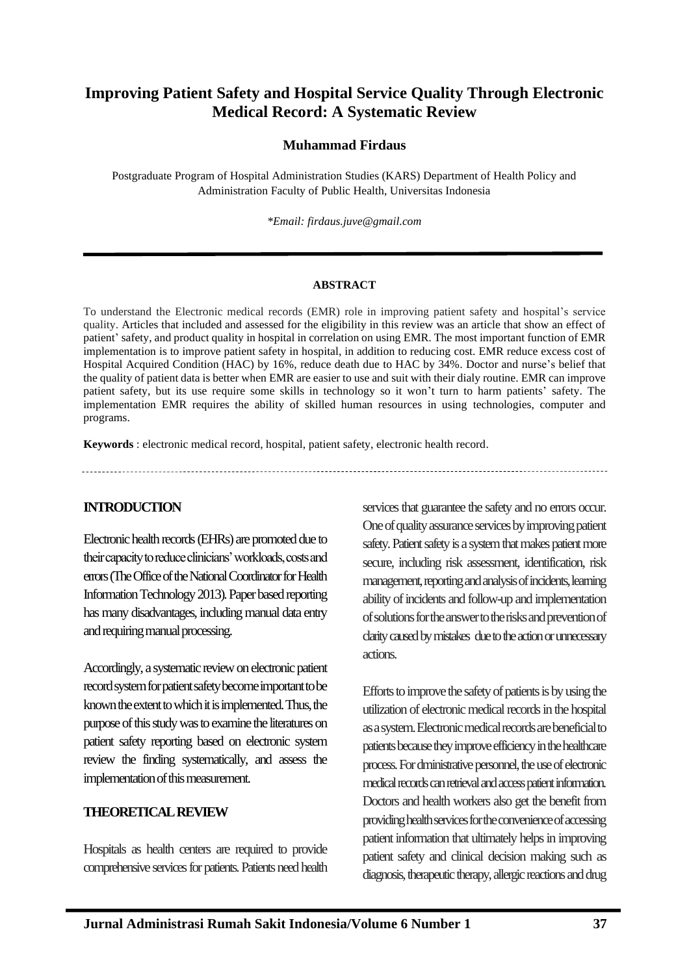# **Improving Patient Safety and Hospital Service Quality Through Electronic Medical Record: A Systematic Review**

### **Muhammad Firdaus**

Postgraduate Program of Hospital Administration Studies (KARS) Department of Health Policy and Administration Faculty of Public Health, Universitas Indonesia

*\*Email: firdaus.juve@gmail.com*

#### **ABSTRACT**

To understand the Electronic medical records (EMR) role in improving patient safety and hospital's service quality. Articles that included and assessed for the eligibility in this review was an article that show an effect of patient' safety, and product quality in hospital in correlation on using EMR. The most important function of EMR implementation is to improve patient safety in hospital, in addition to reducing cost. EMR reduce excess cost of Hospital Acquired Condition (HAC) by 16%, reduce death due to HAC by 34%. Doctor and nurse's belief that the quality of patient data is better when EMR are easier to use and suit with their dialy routine. EMR can improve patient safety, but its use require some skills in technology so it won't turn to harm patients' safety. The implementation EMR requires the ability of skilled human resources in using technologies, computer and programs.

**Keywords** : electronic medical record, hospital, patient safety, electronic health record.

#### **INTRODUCTION**

Electronic health records (EHRs) are promoted due to their capacity to reduce clinicians' workloads, costs and errors (The Office of the National Coordinator for Health Information Technology 2013). Paperbased reporting has many disadvantages, including manual data entry and requiring manual processing.

Accordingly, a systematic review on electronic patient record system for patient safety become important to be known the extent to which it is implemented. Thus, the purpose of this study was to examine the literatures on patient safety reporting based on electronic system review the finding systematically, and assess the implementation of this measurement.

#### **THEORETICAL REVIEW**

Hospitals as health centers are required to provide comprehensive services for patients. Patients need health services that guarantee the safety and no errors occur. One of quality assurance services by improving patient safety. Patient safety is a system that makes patient more secure, including risk assessment, identification, risk management, reporting and analysis of incidents, learning ability of incidents and follow-up and implementation of solutions for the answer to the risks and prevention of clarity caused by mistakes due to the action or unnecessary actions.

Efforts to improve the safety of patients is by using the utilization of electronic medical records in the hospital as a system. Electronic medical records are beneficial to patients because they improve efficiency in the healthcare process. For dministrative personnel, the use of electronic medical records can retrieval and access patient information. Doctors and health workers also get the benefit from providing health services for the convenience of accessing patient information that ultimately helps in improving patient safety and clinical decision making such as diagnosis, therapeutic therapy, allergic reactions and drug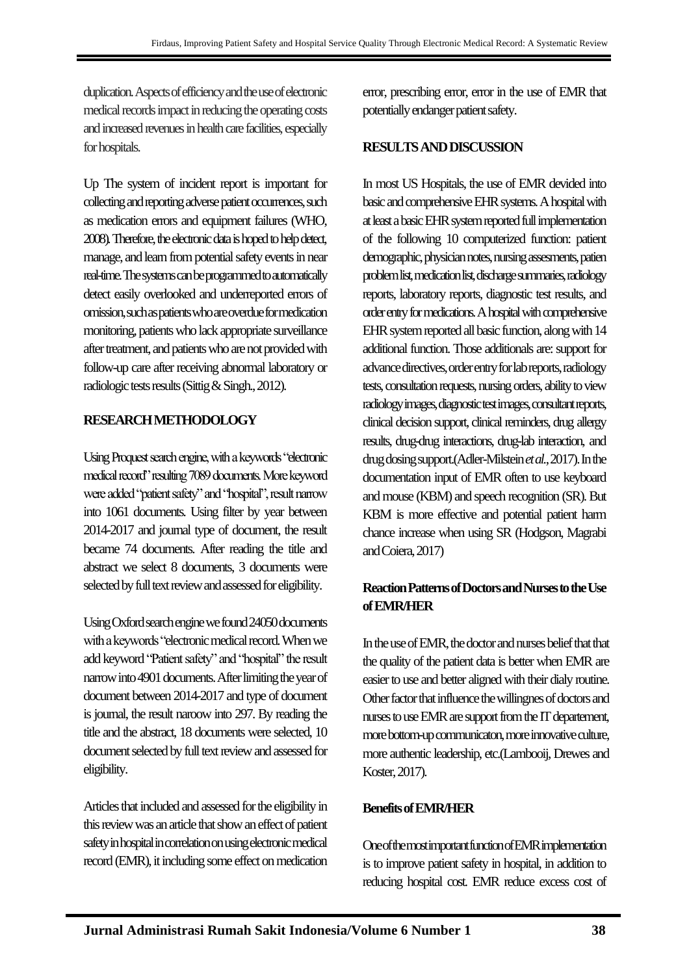duplication. Aspects of efficiency and the use of electronic medical records impact in reducing the operating costs and increased revenues in health care facilities, especially for hospitals.

Up The system of incident report is important for collecting and reporting adverse patient occurrences, such as medication errors and equipment failures (WHO, 2008). Therefore, the electronic data is hoped to help detect, manage, and learn from potential safety events in near real-time. The systems can be programmed to automatically detect easily overlooked and underreported errors of omission, such as patients who are overdue for medication monitoring, patients who lack appropriate surveillance after treatment, and patients who are not provided with follow-up care after receiving abnormal laboratory or radiologic tests results (Sittig & Singh., 2012).

### **RESEARCH METHODOLOGY**

Using Proquest search engine, with a keywords "electronic medical record" resulting 7089 documents. More keyword were added "patient safety" and "hospital", result narrow into 1061 documents. Using filter by year between 2014-2017 and journal type of document, the result became 74 documents. After reading the title and abstract we select 8 documents, 3 documents were selected by full text review and assessed for eligibility.

Using Oxford search engine we found 24050documents with a keywords "electronic medical record. When we add keyword "Patient safety" and "hospital" the result narrow into 4901 documents. After limiting the year of document between 2014-2017 and type of document is journal, the result naroow into 297. By reading the title and the abstract, 18 documents were selected, 10 document selected by full text review and assessed for eligibility.

Articles that included and assessed for the eligibility in this review was an article that show an effect of patient safety in hospital in correlation on using electronic medical record (EMR), it including some effect on medication error, prescribing error, error in the use of EMR that potentially endanger patient safety.

### **RESULTS AND DISCUSSION**

In most US Hospitals, the use of EMR devided into basic and comprehensive EHR systems. A hospital with at least a basic EHR system reported full implementation of the following 10 computerized function: patient demographic, physician notes, nursing assesments, patien problem list, medication list, discharge summaries, radiology reports, laboratory reports, diagnostic test results, and order entry for medications. A hospital with comprehensive EHR system reported all basic function, along with 14 additional function. Those additionals are: support for advance directives, order entry for lab reports, radiology tests, consultation requests, nursing orders, ability to view radiology images, diagnostic test images, consultant reports, clinical decision support, clinical reminders, drug allergy results, drug-drug interactions, drug-lab interaction, and drug dosing support.(Adler-Milstein *et al.*, 2017). In the documentation input of EMR often to use keyboard and mouse (KBM) and speech recognition (SR). But KBM is more effective and potential patient harm chance increase when using SR (Hodgson, Magrabi and Coiera, 2017)

# **Reaction Patterns of Doctors and Nurses to the Use of EMR/HER**

In the use of EMR, the doctor and nurses belief that that the quality of the patient data is better when EMR are easier to use and better aligned with their dialy routine. Other factor that influence the willingnes of doctors and nurses to use EMR are support from the IT departement, more bottom-up communicaton, more innovative culture, more authentic leadership, etc.(Lambooij, Drewes and Koster, 2017).

#### **Benefits of EMR/HER**

One of the most important function of EMR implementation is to improve patient safety in hospital, in addition to reducing hospital cost. EMR reduce excess cost of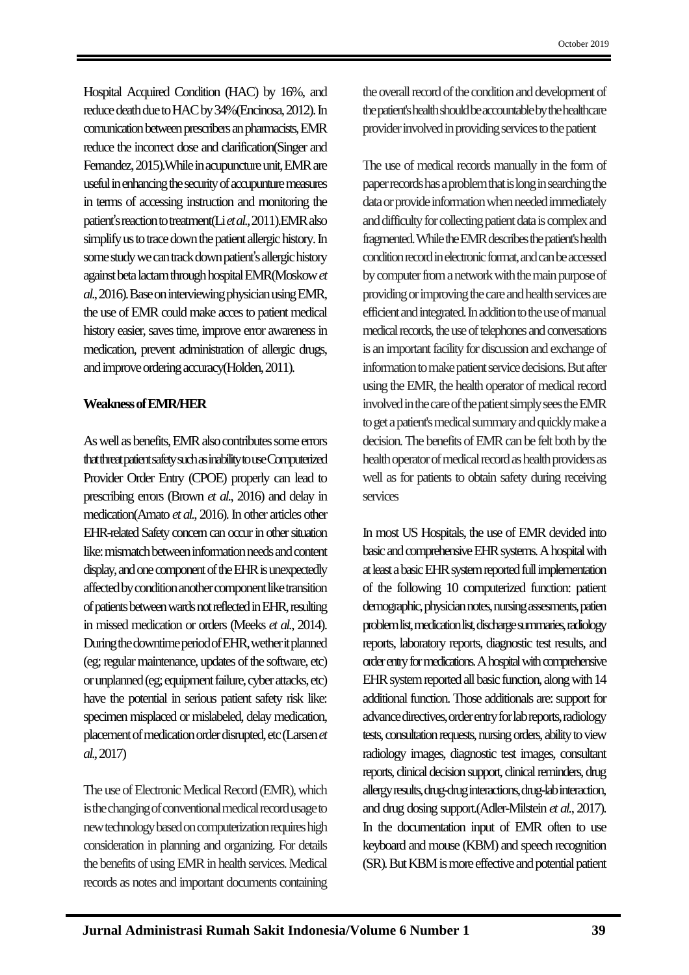Hospital Acquired Condition (HAC) by 16%, and reduce death due to HAC by 34% (Encinosa, 2012). In comunication between prescribers an pharmacists, EMR reduce the incorrect dose and clarification(Singer and Fernandez, 2015).While in acupuncture unit, EMR are useful in enhancing the security of accupunture measures in terms of accessing instruction and monitoring the patient's reaction to treatment(Li *et al.*, 2011).EMR also simplify us to trace down the patient allergic history. In some study we can track down patient's allergic history against beta lactam through hospital EMR(Moskow *et al.*, 2016). Base on interviewing physician using EMR, the use of EMR could make acces to patient medical history easier, saves time, improve error awareness in medication, prevent administration of allergic drugs, and improve ordering accuracy(Holden, 2011).

#### **Weakness of EMR/HER**

As well as benefits, EMR also contributes some errors that threat patient safetysuch as inability to use Computerized Provider Order Entry (CPOE) properly can lead to prescribing errors (Brown *et al.*, 2016) and delay in medication(Amato *et al.*, 2016). In other articles other EHR-related Safety concern can occur in other situation like: mismatch between information needs and content display, and one component of the EHR is unexpectedly affected by condition another component like transition of patients between wards not reflected in EHR, resulting in missed medication or orders (Meeks *et al.*, 2014). During the downtime period of EHR, wether it planned (eg; regular maintenance, updates of the software, etc) or unplanned (eg; equipment failure, cyber attacks, etc) have the potential in serious patient safety risk like: specimen misplaced or mislabeled, delay medication, placement of medication order disrupted, etc (Larsen *et al.*, 2017)

The use of Electronic Medical Record (EMR), which is the changing of conventional medical record usage to new technology based on computerization requires high consideration in planning and organizing. For details the benefits of using EMR in health services. Medical records as notes and important documents containing the overall record of the condition and development of the patient's health should be accountable by the healthcare provider involved in providing services to the patient

The use of medical records manually in the form of paper records has a problem that is long in searching the data or provide information when needed immediately and difficulty for collecting patient data is complex and fragmented. While the EMR describes the patient's health condition record in electronic format, and can be accessed by computer from a network with the main purpose of providing or improving the care and health services are efficient and integrated. In addition to the use of manual medical records, the use of telephones and conversations is an important facility for discussion and exchange of information to make patient service decisions. But after using the EMR, the health operator of medical record involved in the care of the patient simply sees the EMR to get a patient's medical summary and quickly make a decision. The benefits of EMR can be felt both by the health operator of medical record as health providers as well as for patients to obtain safety during receiving services

In most US Hospitals, the use of EMR devided into basic and comprehensive EHR systems. A hospital with at least a basic EHR system reported full implementation of the following 10 computerized function: patient demographic, physician notes, nursing assesments, patien problem list, medication list, discharge summaries, radiology reports, laboratory reports, diagnostic test results, and order entry for medications. A hospital with comprehensive EHR system reported all basic function, along with 14 additional function. Those additionals are: support for advance directives, order entry for lab reports, radiology tests, consultation requests, nursing orders, ability to view radiology images, diagnostic test images, consultant reports, clinical decision support, clinical reminders, drug allergy results, drug-drug interactions, drug-lab interaction, and drug dosing support.(Adler-Milstein *et al.*, 2017). In the documentation input of EMR often to use keyboard and mouse (KBM) and speech recognition (SR). But KBM is more effective and potential patient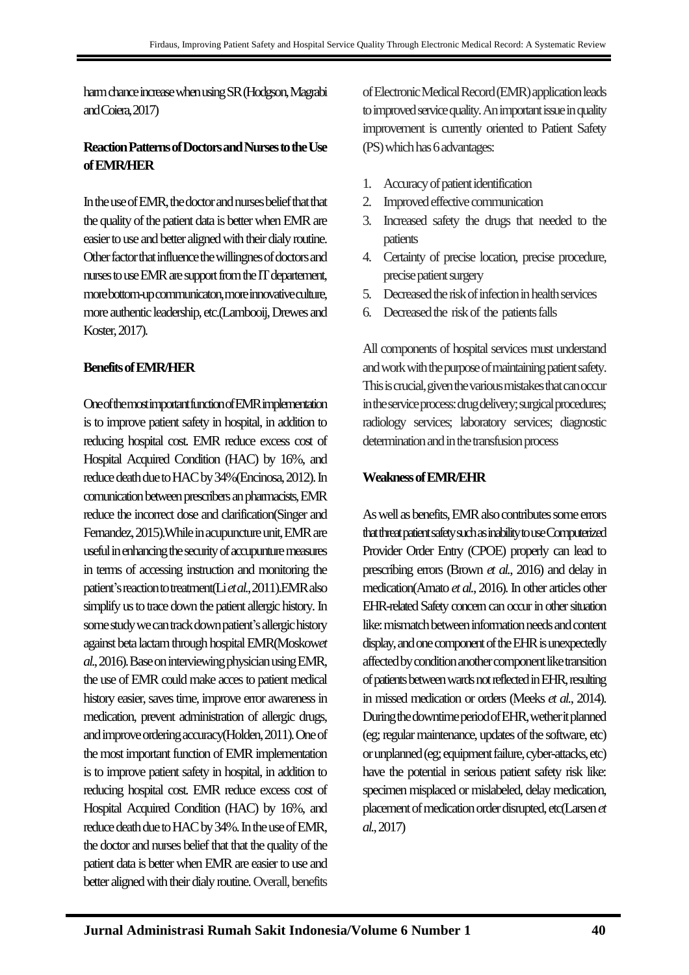harm chance increase when using SR (Hodgson, Magrabi and Coiera, 2017)

## **Reaction Patterns of Doctors and Nurses to the Use of EMR/HER**

In the use of EMR, the doctor and nurses belief that that the quality of the patient data is better when EMR are easier to use and better aligned with their dialy routine. Other factor that influence the willingnes of doctors and nurses to use EMR are support from the IT departement, more bottom-up communicaton, more innovative culture, more authentic leadership, etc.(Lambooij, Drewes and Koster, 2017).

## **Benefits of EMR/HER**

One of the most important function of EMR implementation is to improve patient safety in hospital, in addition to reducing hospital cost. EMR reduce excess cost of Hospital Acquired Condition (HAC) by 16%, and reduce death due to HAC by 34%(Encinosa, 2012). In comunication between prescribers an pharmacists, EMR reduce the incorrect dose and clarification(Singer and Fernandez, 2015).While in acupuncture unit, EMR are useful in enhancing the security of accupunture measures in terms of accessing instruction and monitoring the patient's reaction to treatment(Li *et al.*, 2011).EMR also simplify us to trace down the patient allergic history. In some study we can track down patient's allergic history against beta lactam through hospital EMR(Moskow*et al.*, 2016). Base on interviewing physician using EMR, the use of EMR could make acces to patient medical history easier, saves time, improve error awareness in medication, prevent administration of allergic drugs, and improve ordering accuracy(Holden, 2011). One of the most important function of EMR implementation is to improve patient safety in hospital, in addition to reducing hospital cost. EMR reduce excess cost of Hospital Acquired Condition (HAC) by 16%, and reduce death due to HAC by 34%. In the use of EMR, the doctor and nurses belief that that the quality of the patient data is better when EMR are easier to use and better aligned with their dialy routine. Overall, benefits

of Electronic Medical Record (EMR) application leads to improved service quality. An important issue in quality improvement is currently oriented to Patient Safety (PS) which has 6 advantages:

- 1. Accuracy of patient identification
- 2. Improved effective communication
- 3. Increased safety the drugs that needed to the patients
- 4. Certainty of precise location, precise procedure, precise patient surgery
- 5. Decreased the risk of infection in health services
- 6. Decreased the risk of the patients falls

All components of hospital services must understand and work with the purpose of maintaining patient safety. This is crucial, given the various mistakes that can occur in the service process: drug delivery; surgical procedures; radiology services; laboratory services; diagnostic determination and in the transfusion process

## **Weakness of EMR/EHR**

As well as benefits, EMR also contributes some errors that threat patient safety such as inability to use Computerized Provider Order Entry (CPOE) properly can lead to prescribing errors (Brown *et al.*, 2016) and delay in medication(Amato *et al.*, 2016). In other articles other EHR-related Safety concern can occur in other situation like: mismatch between information needs and content display, and one component of the EHR is unexpectedly affected by condition another component like transition of patients between wards not reflected in EHR, resulting in missed medication or orders (Meeks *et al.*, 2014). During the downtime period of EHR, wether it planned (eg; regular maintenance, updates of the software, etc) or unplanned (eg; equipment failure, cyber-attacks, etc) have the potential in serious patient safety risk like: specimen misplaced or mislabeled, delay medication, placement of medication order disrupted, etc(Larsen *et al.*, 2017)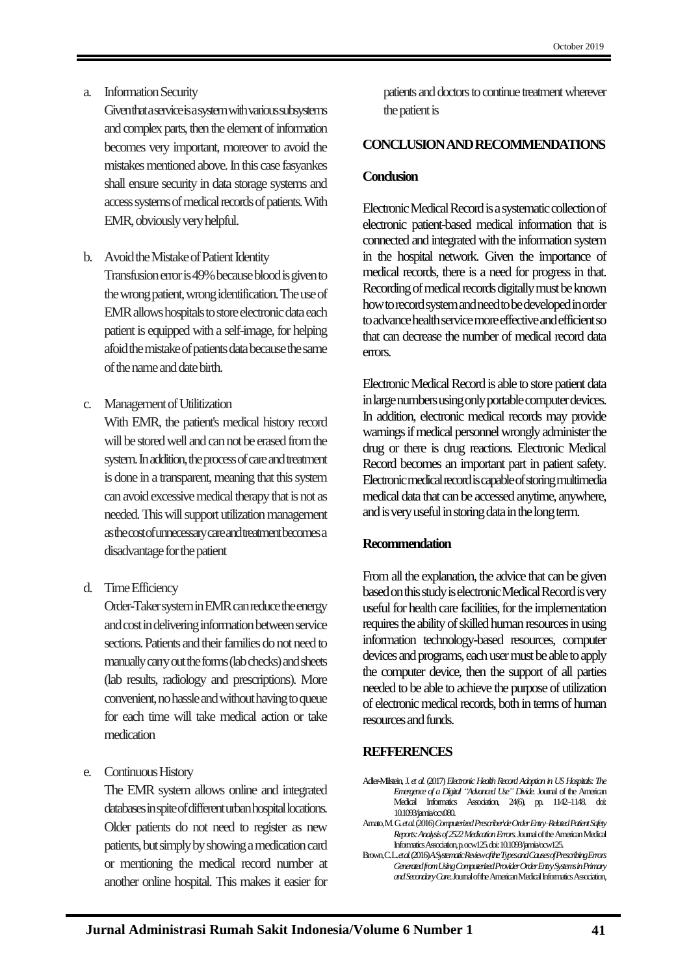a. Information Security

Given that a service is a system with various subsystems and complex parts, then the element of information becomes very important, moreover to avoid the mistakes mentioned above. In this case fasyankes shall ensure security in data storage systems and access systems of medical records of patients. With EMR, obviously very helpful.

- b. Avoid the Mistake of Patient Identity Transfusion error is 49% because blood is given to the wrong patient, wrong identification. The use of EMR allows hospitals to store electronic data each patient is equipped with a self-image, for helping afoid the mistake of patients data because the same of the name and date birth.
- c. Management of Utilitization

With EMR, the patient's medical history record will be stored well and can not be erased from the system. In addition, the process of care and treatment is done in a transparent, meaning that this system can avoid excessive medical therapy that is not as needed. This will support utilization management as the cost of unnecessary care and treatment becomesa disadvantage for the patient

d. Time Efficiency

Order-Taker system in EMR can reduce the energy and cost in delivering information between service sections. Patients and their families do not need to manually carry out the forms (lab checks) and sheets (lab results, radiology and prescriptions). More convenient, no hassle and without having to queue for each time will take medical action or take medication

e. Continuous History

The EMR system allows online and integrated databases in spite of different urban hospital locations. Older patients do not need to register as new patients, but simply by showing a medication card or mentioning the medical record number at another online hospital. This makes it easier for patients and doctors to continue treatment wherever the patient is

### **CONCLUSIONAND RECOMMENDATIONS**

#### **Conclusion**

Electronic Medical Record is a systematic collection of electronic patient-based medical information that is connected and integrated with the information system in the hospital network. Given the importance of medical records, there is a need for progress in that. Recording of medical records digitally must be known how to record system and need to be developed in order to advance health service more effective and efficient so that can decrease the number of medical record data errors.

Electronic Medical Record is able to store patient data in large numbers using only portable computer devices. In addition, electronic medical records may provide warnings if medical personnel wrongly administer the drug or there is drug reactions. Electronic Medical Record becomes an important part in patient safety. Electronic medical record is capable of storing multimedia medical data that can be accessed anytime, anywhere, and is very useful in storing data in the long term.

#### **Recommendation**

From all the explanation, the advice that can be given based on this study is electronic Medical Record is very useful for health care facilities, for the implementation requires the ability of skilled human resources in using information technology-based resources, computer devices and programs, each user must be able to apply the computer device, then the support of all parties needed to be able to achieve the purpose of utilization of electronic medical records, both in terms of human resources and funds.

## **REFFERENCES**

- Adler-Milstein, J. *et al.*(2017) *Electronic Health Record Adoption in US Hospitals: The Emergence of a Digital "Advanced Use" Divide.* Journal of the American Medical Informatics Association, 24(6), pp. 1142–1148. doi: 10.1093/jamia/ocx080.
- Amato, M. G. *et al.*(2016) *Computerized Prescriber\deOrder Entry–Related Patient Safety Reports: Analysis of 2522 Medication Errors.*Journal of the American Medical Informatics Association, p. ocw125. doi: 10.1093/jamia/ocw125.
- Brown, C. L. *et al.*(2016) *A Systematic Review of the Types and Causes of Prescribing Errors Generated from Using Computerized Provider Order Entry Systems in Primary and Secondary Care*.Journal of the American Medical Informatics Association,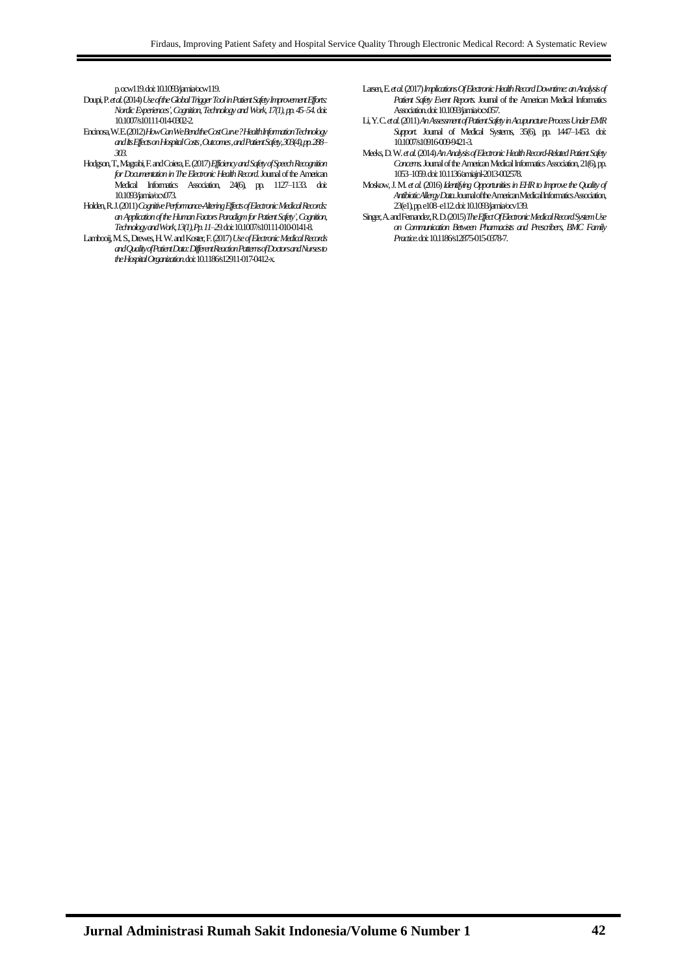p. ocw119. doi: 10.1093/jamia/ocw119.

- Doupi, P. *et al.*(2014) *Use of the Global Trigger Tool in Patient Safety Improvement Efforts: Nordic Experiences', Cognition, Technology and Work*, *17(1), pp. 45–54.*doi: 10.1007/s10111-014-0302-2.
- Encinosa, W. E. (2012) *How Can We Bend the Cost Curve? Health Information Technology and Its Effects on Hospital Costs , Outcomes , and Patient Safety, 303(4), pp. 288– 303*.
- Hodgson, T., Magrabi, F. and Coiera, E. (2017) *Efficiency and Safety of Speech Recognition for Documentation in The Electronic Health Record*.Journal of the American Medical Informatics Association, 24(6), pp. 1127–1133. doi: 10.1093/jamia/ocx073.
- Holden, R. J. (2011) *Cognitive Performance-Altering Effects of Electronic Medical Records: an Application of the Human Factors Paradigm for Patient Safety', Cognition, Technology and Work, 13(1), Pp. 11–29.*doi: 10.1007/s10111-010-0141-8.
- Lambooij, M. S., Drewes, H. W. and Koster, F. (2017) *Use of Electronic Medical Records and Quality of Patient Data: Different Reaction Patterns of Doctors and Nurses to the Hospital Organization*. doi: 10.1186/s12911-017-0412-x.
- Larsen, E. *et al.*(2017) *Implications Of Electronic Health Record Downtime: an Analysis of Patient Safety Event Reports.* Journal of the American Medical Informatics Association.doi: 10.1093/jamia/ocx057.
- Li, Y. C. *et al.*(2011) *An Assessment of Patient Safety in Acupuncture Process Under EMR Support.* Journal of Medical Systems, 35(6), pp. 1447–1453. doi: 10.1007/s10916-009-9421-3.
- Meeks, D. W. *et al.*(2014) *An Analysis of Electronic Health Record-Related Patient Safety Concerns.*Journal of the American Medical Informatics Association, 21(6), pp. 1053–1059. doi: 10.1136/amiajnl-2013-002578.
- Moskow, J. M. *et al.*(2016) *Identifying Opportunities in EHR to Improve the Quality of Antibiotic Allergy Data.*Journal of the American Medical Informatics Association, 23(e1), pp. e108–e112. doi: 10.1093/jamia/ocv139.
- Singer, A. and Fernandez, R. D. (2015) *The Effect Of Electronic Medical Record System Use on Communication Between Pharmacists and Prescribers*, *BMC Family Practice*. doi: 10.1186/s12875-015-0378-7.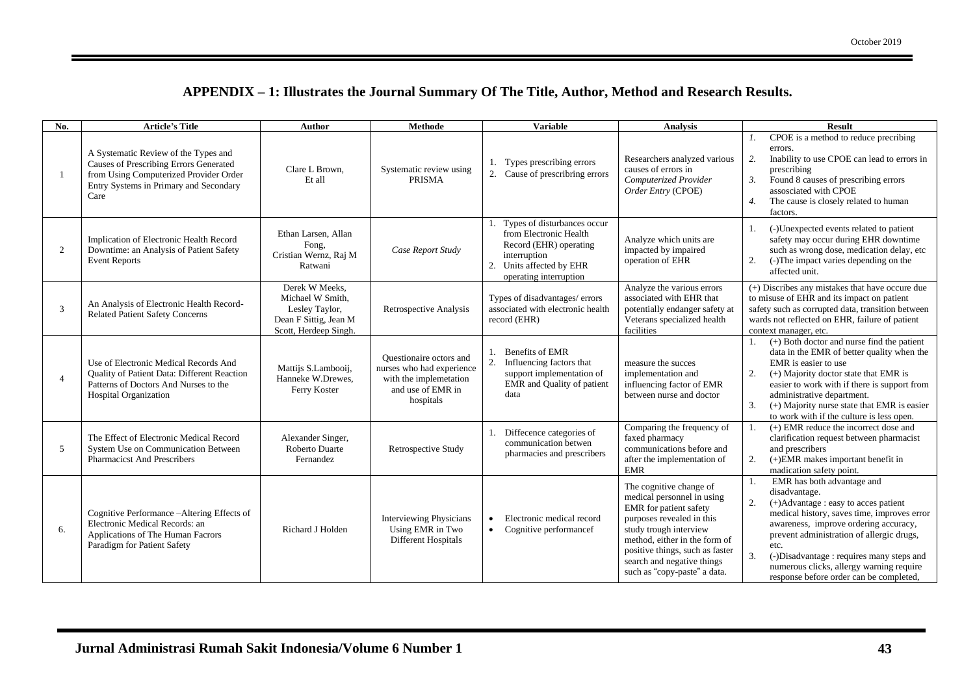| No.            | <b>Article's Title</b>                                                                                                                                                     | <b>Author</b>                                                                                          | <b>Methode</b>                                                                                                   | <b>Variable</b>                                                                                                                                          | <b>Analysis</b>                                                                                                                                                                                                                                                          | <b>Result</b>                                                                                                                                                                                                                                                                                                                                                                    |
|----------------|----------------------------------------------------------------------------------------------------------------------------------------------------------------------------|--------------------------------------------------------------------------------------------------------|------------------------------------------------------------------------------------------------------------------|----------------------------------------------------------------------------------------------------------------------------------------------------------|--------------------------------------------------------------------------------------------------------------------------------------------------------------------------------------------------------------------------------------------------------------------------|----------------------------------------------------------------------------------------------------------------------------------------------------------------------------------------------------------------------------------------------------------------------------------------------------------------------------------------------------------------------------------|
| $\overline{1}$ | A Systematic Review of the Types and<br>Causes of Prescribing Errors Generated<br>from Using Computerized Provider Order<br>Entry Systems in Primary and Secondary<br>Care | Clare L Brown.<br>Et all                                                                               | Systematic review using<br><b>PRISMA</b>                                                                         | Types prescribing errors<br>2.<br>Cause of prescribring errors                                                                                           | Researchers analyzed various<br>causes of errors in<br>Computerized Provider<br>Order Entry (CPOE)                                                                                                                                                                       | CPOE is a method to reduce precribing<br>errors.<br>Inability to use CPOE can lead to errors in<br>2.<br>prescribing<br>Found 8 causes of prescribing errors<br>3.<br>assosciated with CPOE<br>$\overline{4}$ .<br>The cause is closely related to human<br>factors.                                                                                                             |
| 2              | Implication of Electronic Health Record<br>Downtime: an Analysis of Patient Safety<br><b>Event Reports</b>                                                                 | Ethan Larsen, Allan<br>Fong.<br>Cristian Wernz, Raj M<br>Ratwani                                       | Case Report Study                                                                                                | Types of disturbances occur<br>from Electronic Health<br>Record (EHR) operating<br>interruption<br>Units affected by EHR<br>2.<br>operating interruption | Analyze which units are<br>impacted by impaired<br>operation of EHR                                                                                                                                                                                                      | (-)Unexpected events related to patient<br>$1_{-}$<br>safety may occur during EHR downtime<br>such as wrong dose, medication delay, etc<br>(-)The impact varies depending on the<br>2.<br>affected unit.                                                                                                                                                                         |
| 3              | An Analysis of Electronic Health Record-<br><b>Related Patient Safety Concerns</b>                                                                                         | Derek W Meeks.<br>Michael W Smith,<br>Lesley Taylor,<br>Dean F Sittig, Jean M<br>Scott, Herdeep Singh. | Retrospective Analysis                                                                                           | Types of disadvantages/errors<br>associated with electronic health<br>record (EHR)                                                                       | Analyze the various errors<br>associated with EHR that<br>potentially endanger safety at<br>Veterans specialized health<br>facilities                                                                                                                                    | (+) Discribes any mistakes that have occure due<br>to misuse of EHR and its impact on patient<br>safety such as corrupted data, transition between<br>wards not reflected on EHR, failure of patient<br>context manager, etc.                                                                                                                                                    |
| $\overline{4}$ | Use of Electronic Medical Records And<br><b>Ouality of Patient Data: Different Reaction</b><br>Patterns of Doctors And Nurses to the<br><b>Hospital Organization</b>       | Mattijs S.Lambooij,<br>Hanneke W.Drewes.<br>Ferry Koster                                               | Questionaire octors and<br>nurses who had experience<br>with the implemetation<br>and use of EMR in<br>hospitals | <b>Benefits of EMR</b><br>1.<br>2.<br>Influencing factors that<br>support implementation of<br>EMR and Quality of patient<br>data                        | measure the succes<br>implementation and<br>influencing factor of EMR<br>between nurse and doctor                                                                                                                                                                        | $(+)$ Both doctor and nurse find the patient<br>$1_{-}$<br>data in the EMR of better quality when the<br>EMR is easier to use<br>2.<br>$(+)$ Majority doctor state that EMR is<br>easier to work with if there is support from<br>administrative department.<br>3.<br>$(+)$ Majority nurse state that EMR is easier<br>to work with if the culture is less open.                 |
| 5              | The Effect of Electronic Medical Record<br>System Use on Communication Between<br><b>Pharmacicst And Prescribers</b>                                                       | Alexander Singer,<br>Roberto Duarte<br>Fernandez                                                       | Retrospective Study                                                                                              | Diffecence categories of<br>communication betwen<br>pharmacies and prescribers                                                                           | Comparing the frequency of<br>faxed pharmacy<br>communications before and<br>after the implementation of<br><b>EMR</b>                                                                                                                                                   | $(+)$ EMR reduce the incorrect dose and<br>1.<br>clarification request between pharmacist<br>and prescribers<br>$(+)$ EMR makes important benefit in<br>2.<br>madication safety point.                                                                                                                                                                                           |
| 6.             | Cognitive Performance-Altering Effects of<br>Electronic Medical Records: an<br>Applications of The Human Facrors<br>Paradigm for Patient Safety                            | Richard J Holden                                                                                       | <b>Interviewing Physicians</b><br>Using EMR in Two<br>Different Hospitals                                        | Electronic medical record<br>$\bullet$<br>Cognitive performancef<br>$\bullet$                                                                            | The cognitive change of<br>medical personnel in using<br>EMR for patient safety<br>purposes revealed in this<br>study trough interview<br>method, either in the form of<br>positive things, such as faster<br>search and negative things<br>such as "copy-paste" a data. | EMR has both advantage and<br>disadvantage.<br>2.<br>(+)Advantage : easy to acces patient<br>medical history, saves time, improves error<br>awareness, improve ordering accuracy,<br>prevent administration of allergic drugs,<br>etc.<br>3.<br>(-)Disadvantage : requires many steps and<br>numerous clicks, allergy warning require<br>response before order can be completed, |

# **APPENDIX – 1: Illustrates the Journal Summary Of The Title, Author, Method and Research Results.**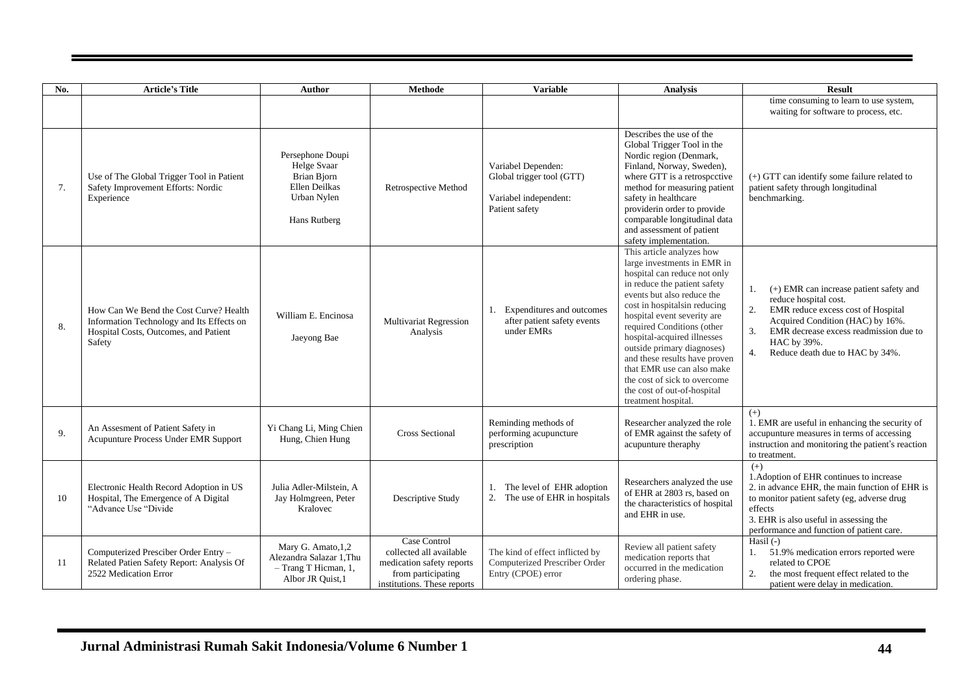| No. | <b>Article's Title</b>                                                                                                                 | <b>Author</b>                                                                                  | <b>Methode</b>                                                                                                            | <b>Variable</b>                                                                            | <b>Analysis</b>                                                                                                                                                                                                                                                                                                                                                                                                                                                        | <b>Result</b>                                                                                                                                                                                                                                                  |
|-----|----------------------------------------------------------------------------------------------------------------------------------------|------------------------------------------------------------------------------------------------|---------------------------------------------------------------------------------------------------------------------------|--------------------------------------------------------------------------------------------|------------------------------------------------------------------------------------------------------------------------------------------------------------------------------------------------------------------------------------------------------------------------------------------------------------------------------------------------------------------------------------------------------------------------------------------------------------------------|----------------------------------------------------------------------------------------------------------------------------------------------------------------------------------------------------------------------------------------------------------------|
|     |                                                                                                                                        |                                                                                                |                                                                                                                           |                                                                                            |                                                                                                                                                                                                                                                                                                                                                                                                                                                                        | time consuming to learn to use system,<br>waiting for software to process, etc.                                                                                                                                                                                |
| 7.  | Use of The Global Trigger Tool in Patient<br>Safety Improvement Efforts: Nordic<br>Experience                                          | Persephone Doupi<br>Helge Svaar<br>Brian Bjorn<br>Ellen Deilkas<br>Urban Nylen<br>Hans Rutberg | Retrospective Method                                                                                                      | Variabel Dependen:<br>Global trigger tool (GTT)<br>Variabel independent:<br>Patient safety | Describes the use of the<br>Global Trigger Tool in the<br>Nordic region (Denmark,<br>Finland, Norway, Sweden),<br>where GTT is a retrospective<br>method for measuring patient<br>safety in healthcare<br>providerin order to provide<br>comparable longitudinal data<br>and assessment of patient<br>safety implementation.                                                                                                                                           | $(+)$ GTT can identify some failure related to<br>patient safety through longitudinal<br>benchmarking.                                                                                                                                                         |
| 8.  | How Can We Bend the Cost Curve? Health<br>Information Technology and Its Effects on<br>Hospital Costs, Outcomes, and Patient<br>Safety | William E. Encinosa<br>Jaeyong Bae                                                             | <b>Multivariat Regression</b><br>Analysis                                                                                 | Expenditures and outcomes<br>1.<br>after patient safety events<br>under EMRs               | This article analyzes how<br>large investments in EMR in<br>hospital can reduce not only<br>in reduce the patient safety<br>events but also reduce the<br>cost in hospitals in reducing<br>hospital event severity are<br>required Conditions (other<br>hospital-acquired illnesses<br>outside primary diagnoses)<br>and these results have proven<br>that EMR use can also make<br>the cost of sick to overcome<br>the cost of out-of-hospital<br>treatment hospital. | (+) EMR can increase patient safety and<br>1.<br>reduce hospital cost.<br>2.<br>EMR reduce excess cost of Hospital<br>Acquired Condition (HAC) by 16%.<br>EMR decrease excess readmission due to<br>3.<br>HAC by 39%.<br>Reduce death due to HAC by 34%.<br>4. |
| 9.  | An Assesment of Patient Safety in<br>Acupunture Process Under EMR Support                                                              | Yi Chang Li, Ming Chien<br>Hung, Chien Hung                                                    | <b>Cross Sectional</b>                                                                                                    | Reminding methods of<br>performing acupuncture<br>prescription                             | Researcher analyzed the role<br>of EMR against the safety of<br>acupunture theraphy                                                                                                                                                                                                                                                                                                                                                                                    | $(+)$<br>1. EMR are useful in enhancing the security of<br>accupunture measures in terms of accessing<br>instruction and monitoring the patient's reaction<br>to treatment.                                                                                    |
| 10  | Electronic Health Record Adoption in US<br>Hospital, The Emergence of A Digital<br>"Advance Use "Divide"                               | Julia Adler-Milstein, A<br>Jay Holmgreen, Peter<br>Kralovec                                    | Descriptive Study                                                                                                         | The level of EHR adoption<br>The use of EHR in hospitals<br>2.                             | Researchers analyzed the use<br>of EHR at 2803 rs, based on<br>the characteristics of hospital<br>and EHR in use.                                                                                                                                                                                                                                                                                                                                                      | $(+)$<br>1. Adoption of EHR continues to increase<br>2. in advance EHR, the main function of EHR is<br>to monitor patient safety (eg, adverse drug<br>effects<br>3. EHR is also useful in assessing the<br>performance and function of patient care.           |
| 11  | Computerized Presciber Order Entry -<br>Related Patien Safety Report: Analysis Of<br>2522 Medication Error                             | Mary G. Amato, 1,2<br>Alezandra Salazar 1, Thu<br>- Trang T Hicman, 1,<br>Albor JR Quist, 1    | Case Control<br>collected all available<br>medication safety reports<br>from participating<br>institutions. These reports | The kind of effect inflicted by<br>Computerized Prescriber Order<br>Entry (CPOE) error     | Review all patient safety<br>medication reports that<br>occurred in the medication<br>ordering phase.                                                                                                                                                                                                                                                                                                                                                                  | Hasil $(-)$<br>51.9% medication errors reported were<br>1.<br>related to CPOE<br>the most frequent effect related to the<br>2.<br>patient were delay in medication.                                                                                            |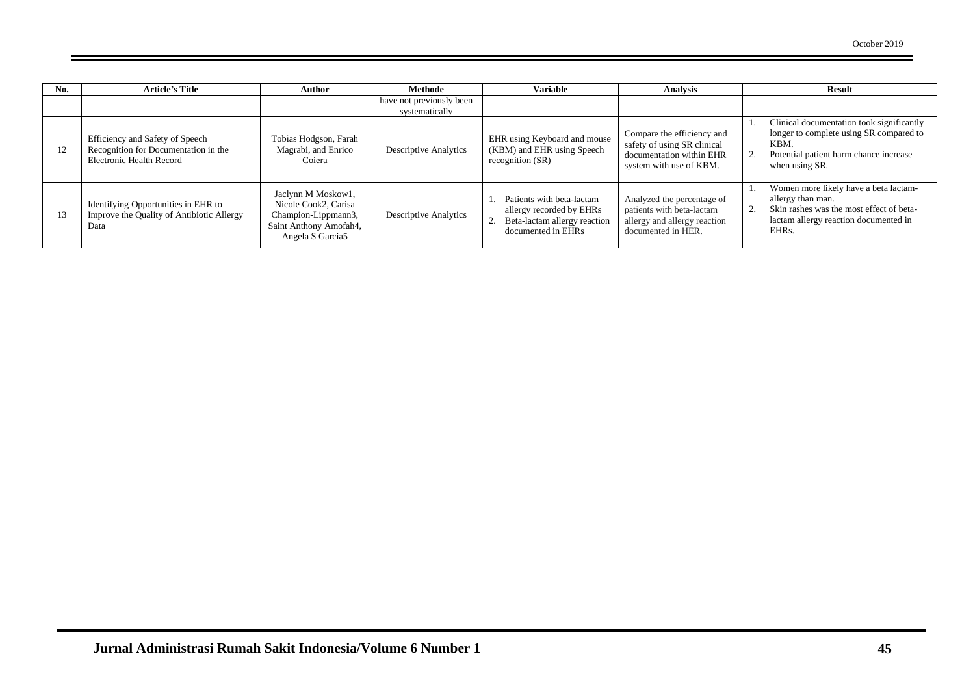| No. | <b>Article's Title</b>                                                                              | Author                                                                                                          | <b>Methode</b>                             | <b>Variable</b>                                                                                             | <b>Analysis</b>                                                                                                  | <b>Result</b>                                                                                                                                                         |
|-----|-----------------------------------------------------------------------------------------------------|-----------------------------------------------------------------------------------------------------------------|--------------------------------------------|-------------------------------------------------------------------------------------------------------------|------------------------------------------------------------------------------------------------------------------|-----------------------------------------------------------------------------------------------------------------------------------------------------------------------|
|     |                                                                                                     |                                                                                                                 | have not previously been<br>systematically |                                                                                                             |                                                                                                                  |                                                                                                                                                                       |
|     | Efficiency and Safety of Speech<br>Recognition for Documentation in the<br>Electronic Health Record | Tobias Hodgson, Farah<br>Magrabi, and Enrico<br>Coiera                                                          | <b>Descriptive Analytics</b>               | EHR using Keyboard and mouse<br>(KBM) and EHR using Speech<br>recognition $(SR)$                            | Compare the efficiency and<br>safety of using SR clinical<br>documentation within EHR<br>system with use of KBM. | Clinical documentation took significantly<br>longer to complete using SR compared to<br>KBM.<br>Potential patient harm chance increase<br>when using SR.              |
| 13  | Identifying Opportunities in EHR to<br>Improve the Quality of Antibiotic Allergy<br>Data            | Jaclynn M Moskow1,<br>Nicole Cook2, Carisa<br>Champion-Lippmann3,<br>Saint Anthony Amofah4,<br>Angela S Garcia5 | <b>Descriptive Analytics</b>               | Patients with beta-lactam<br>allergy recorded by EHRs<br>Beta-lactam allergy reaction<br>documented in EHRs | Analyzed the percentage of<br>patients with beta-lactam<br>allergy and allergy reaction<br>documented in HER.    | Women more likely have a beta lactam-<br>allergy than man.<br>Skin rashes was the most effect of beta-<br>lactam allergy reaction documented in<br>EHR <sub>s</sub> . |